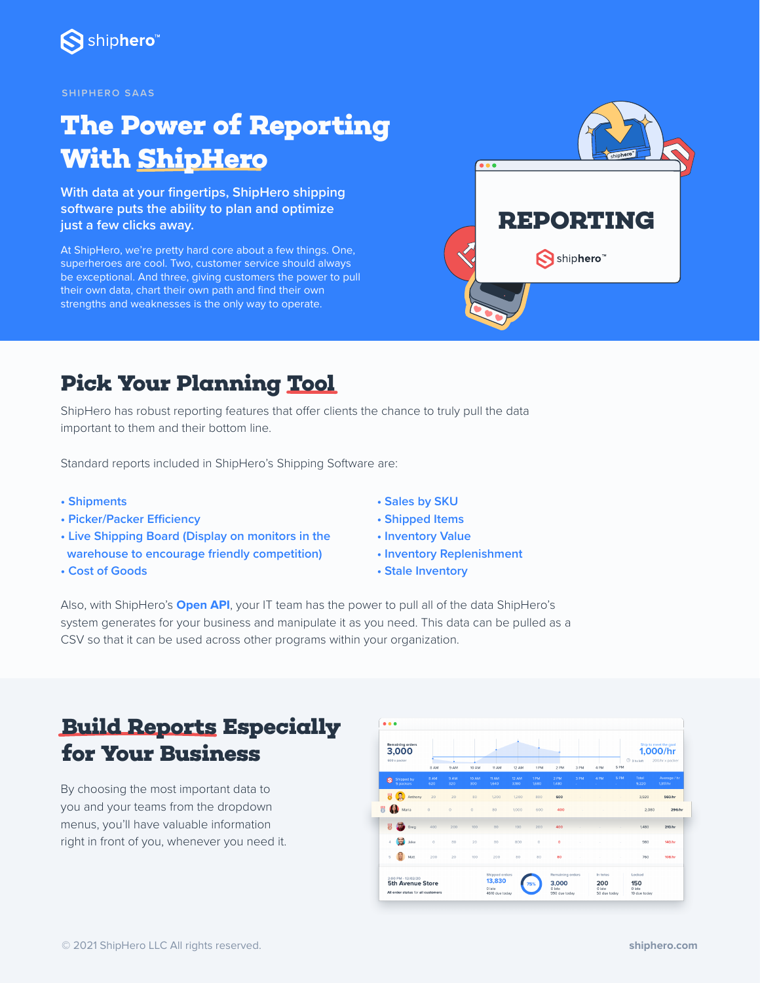

#### **SHIPHERO SAAS**

# **The Power of Reporting With ShipHero**

**With data at your fingertips, ShipHero shipping software puts the ability to plan and optimize just a few clicks away.** 

At ShipHero, we're pretty hard core about a few things. One, superheroes are cool. Two, customer service should always be exceptional. And three, giving customers the power to pull their own data, chart their own path and find their own strengths and weaknesses is the only way to operate.



#### **Pick Your Planning Tool**

ShipHero has robust reporting features that offer clients the chance to truly pull the data important to them and their bottom line.

Standard reports included in ShipHero's Shipping Software are:

- **Shipments**
- **Picker/Packer Efficiency**
- **Live Shipping Board (Display on monitors in the warehouse to encourage friendly competition)**
- **Cost of Goods**
- **Sales by SKU**
- **Shipped Items**
- **Inventory Value**
- **Inventory Replenishment**
- **Stale Inventory**

Also, with ShipHero's **[Open API](https://help.shiphero.com/knowledgeBase/10083792)**, your IT team has the power to pull all of the data ShipHero's system generates for your business and manipulate it as you need. This data can be pulled as a CSV so that it can be used across other programs within your organization.

### **Build Reports Especially for Your Business**

By choosing the most important data to you and your teams from the dropdown menus, you'll have valuable information right in front of you, whenever you need it.

| <b>Remaining orders</b><br>3,000                              |                         |             |             |              |                                           |                |              |                                  |                | Ship to meet the goal<br>1,000/hr |                      |                               |                         |
|---------------------------------------------------------------|-------------------------|-------------|-------------|--------------|-------------------------------------------|----------------|--------------|----------------------------------|----------------|-----------------------------------|----------------------|-------------------------------|-------------------------|
|                                                               | 600 x packer            | 8 AM        | 9 AM        | 10 AM        | 11 AM                                     | 12 AM          | 1PM          | 2 PM                             | 3 PM           | 4 PM                              | 5 PM                 | 3 hs left                     | 200/hr x packer         |
| ۵                                                             | Shipped by<br>5 packers | 8 AM<br>620 | 9 AM<br>320 | 10 AM<br>300 | 11AM<br>1.640                             | 12 AM<br>3.180 | 1PM<br>1,680 | 2 PM<br>1,480                    | 3 PM<br>$\sim$ | 4 PM<br>and the                   | <b>SPM</b><br>and in | Total<br>9.220                | Average / hr<br>1317/hr |
| ₩                                                             | R<br>Anthony            | 20          | 20          | 80           | 1200                                      | 1200           | 800          | 600                              |                |                                   |                      | 3.920                         | 560/hr                  |
| 붱                                                             | Ð<br>Maria              | $\Omega$    | $\circ$     | $\Omega$     | 80                                        | 1,000          | 600          | 400                              |                |                                   |                      | 2,080                         | 296/hr                  |
| 빎                                                             | Greg                    | 400         | 200         | 100          | 80                                        | 100            | 200          | 400                              |                |                                   |                      | 1,480                         | 210/hr                  |
| A                                                             | 憳<br>Jake               | $\circ$     | 80          | 20           | 80                                        | 800            | $\circ$      | $\circ$                          |                |                                   |                      | 980                           | 140/hr                  |
| 5                                                             | Matt                    | 200         | 20          | 100          | 200                                       | 80             | 80           | 80                               |                |                                   |                      | 760                           | 108/hr                  |
|                                                               | 2:00 PM - 12/02/20      |             |             |              | Shipped orders                            |                |              | Remaining orders<br>In totes     |                |                                   | Locked               |                               |                         |
| <b>5th Avenue Store</b><br>All order status for all customers |                         |             |             |              | 13,830<br>75%<br>0 late<br>4610 due today |                |              | 3,000<br>O late<br>990 due today |                | 200<br>O late<br>50 due today     |                      | 150<br>O late<br>10 due today |                         |